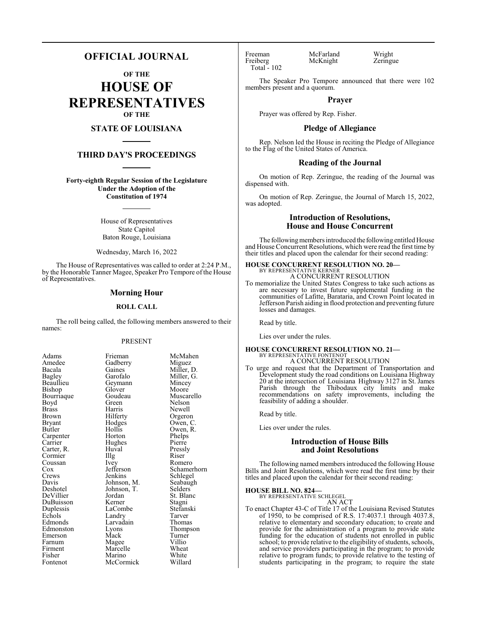# **OFFICIAL JOURNAL**

**OF THE**

**HOUSE OF REPRESENTATIVES OF THE**

# **STATE OF LOUISIANA**

# **THIRD DAY'S PROCEEDINGS**

**Forty-eighth Regular Session of the Legislature Under the Adoption of the Constitution of 1974**

> House of Representatives State Capitol Baton Rouge, Louisiana

Wednesday, March 16, 2022

The House of Representatives was called to order at 2:24 P.M., by the Honorable Tanner Magee, Speaker Pro Tempore of the House of Representatives.

#### **Morning Hour**

#### **ROLL CALL**

The roll being called, the following members answered to their names:

#### PRESENT

| Adams                |
|----------------------|
| Amedee               |
| Bacala               |
| <b>Bagley</b>        |
| Beaullieu            |
| Bishop               |
| Bourriaque           |
| Boyd                 |
| <b>Brass</b>         |
| Brown                |
| <b>Bryant</b>        |
| Butler               |
| Carpenter<br>Carrier |
|                      |
| Carter, R.           |
|                      |
| Cormier<br>Coussan   |
| Cox                  |
| Crews                |
| Davis                |
| Deshotel             |
| DeVillier            |
| DuBuisson            |
| Duplessis            |
| Echols               |
| Edmonds              |
| Edmonston            |
| Emerson              |
| Farnum               |
| Firment              |
| Fisher               |
| Fontenot             |

en<br>Amedee Amedee (Gadberry Miguez)<br>Amedee Gadberry Miguez Gadberry<br>Gaines Gaines Miller, D.<br>Garofalo Miller, G. Geymann Mincey<br>Glover Moore Glover<br>Goudeau Goudeau Muscarello<br>Green Nelson Green Nelson<br>Harris Newell Harris Newell<br>Hilferty Orgeror Hilferty Orgeron<br>Hodges Owen, C Hodges Owen, C.<br>Hollis Owen, R. Horton Phelps<br>
Hughes Pierre Hughes<br>Huval Huval Pressly<br>
Illg Riser Cormier Illg Riser Ivey Romero<br>Jefferson Schamer Jefferson Schamerhorn<br>Jenkins Schlegel Johnson, M. Seabaug<br>Johnson, T. Selders Johnson, T.<br>Jordan Jordan St. Blanc<br>Kerner Stagni LaCombe Stefans<br>Landry Tarver Landry Tarver<br>
Larvadain Thomas Larvadain<br>Lyons Eyons Thompson<br>
Mack Turner Magee Villio<br>
Marcelle Wheat Marcelle Wheat<br>
Marino White Marino White<br>
McCormick Willard McCormick

Miller, G.<br>Mincey Owen, R.<br>Phelps Schlegel<br>Seabaugh Stagni<br>Stefanski Turner<br>Villio

Total - 102

Freeman McFarland Wright<br>
Freiberg McKnight Zeringue McKnight

The Speaker Pro Tempore announced that there were 102 members present and a quorum.

#### **Prayer**

Prayer was offered by Rep. Fisher.

#### **Pledge of Allegiance**

Rep. Nelson led the House in reciting the Pledge of Allegiance to the Flag of the United States of America.

#### **Reading of the Journal**

On motion of Rep. Zeringue, the reading of the Journal was dispensed with.

On motion of Rep. Zeringue, the Journal of March 15, 2022, was adopted.

# **Introduction of Resolutions, House and House Concurrent**

The following members introduced the following entitled House and House Concurrent Resolutions, which were read the first time by their titles and placed upon the calendar for their second reading:

#### **HOUSE CONCURRENT RESOLUTION NO. 20—** BY REPRESENTATIVE KERNER A CONCURRENT RESOLUTION

To memorialize the United States Congress to take such actions as are necessary to invest future supplemental funding in the communities of Lafitte, Barataria, and Crown Point located in Jefferson Parish aiding in flood protection and preventing future losses and damages.

Read by title.

Lies over under the rules.

#### **HOUSE CONCURRENT RESOLUTION NO. 21—** BY REPRESENTATIVE FONTENOT

A CONCURRENT RESOLUTION

To urge and request that the Department of Transportation and Development study the road conditions on Louisiana Highway 20 at the intersection of Louisiana Highway 3127 in St. James Parish through the Thibodaux city limits and make recommendations on safety improvements, including the feasibility of adding a shoulder.

Read by title.

Lies over under the rules.

# **Introduction of House Bills and Joint Resolutions**

The following named members introduced the following House Bills and Joint Resolutions, which were read the first time by their titles and placed upon the calendar for their second reading:

#### **HOUSE BILL NO. 824—**

BY REPRESENTATIVE SCHLEGEL AN ACT

To enact Chapter 43-C of Title 17 of the Louisiana Revised Statutes of 1950, to be comprised of R.S. 17:4037.1 through 4037.8, relative to elementary and secondary education; to create and provide for the administration of a program to provide state funding for the education of students not enrolled in public school; to provide relative to the eligibility of students, schools, and service providers participating in the program; to provide relative to program funds; to provide relative to the testing of students participating in the program; to require the state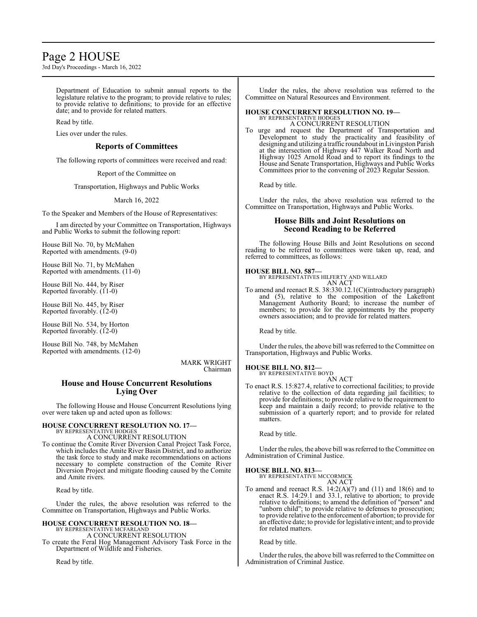# Page 2 HOUSE

3rd Day's Proceedings - March 16, 2022

Department of Education to submit annual reports to the legislature relative to the program; to provide relative to rules; to provide relative to definitions; to provide for an effective date; and to provide for related matters.

#### Read by title.

Lies over under the rules.

# **Reports of Committees**

The following reports of committees were received and read:

Report of the Committee on

Transportation, Highways and Public Works

#### March 16, 2022

To the Speaker and Members of the House of Representatives:

I am directed by your Committee on Transportation, Highways and Public Works to submit the following report:

House Bill No. 70, by McMahen Reported with amendments. (9-0)

House Bill No. 71, by McMahen Reported with amendments. (11-0)

House Bill No. 444, by Riser Reported favorably.  $(11-0)$ 

House Bill No. 445, by Riser Reported favorably. (12-0)

House Bill No. 534, by Horton Reported favorably. (12-0)

House Bill No. 748, by McMahen Reported with amendments. (12-0)

> MARK WRIGHT Chairman

# **House and House Concurrent Resolutions Lying Over**

The following House and House Concurrent Resolutions lying over were taken up and acted upon as follows:

# **HOUSE CONCURRENT RESOLUTION NO. 17—**

BY REPRESENTATIVE HODGES A CONCURRENT RESOLUTION

To continue the Comite River Diversion Canal Project Task Force, which includes the Amite River Basin District, and to authorize the task force to study and make recommendations on actions necessary to complete construction of the Comite River Diversion Project and mitigate flooding caused by the Comite and Amite rivers.

Read by title.

Under the rules, the above resolution was referred to the Committee on Transportation, Highways and Public Works.

#### **HOUSE CONCURRENT RESOLUTION NO. 18—** BY REPRESENTATIVE MCFARLAND

A CONCURRENT RESOLUTION

To create the Feral Hog Management Advisory Task Force in the Department of Wildlife and Fisheries.

Read by title.

Under the rules, the above resolution was referred to the Committee on Natural Resources and Environment.

#### **HOUSE CONCURRENT RESOLUTION NO. 19—** BY REPRESENTATIVE HODGES A CONCURRENT RESOLUTION

To urge and request the Department of Transportation and Development to study the practicality and feasibility of designing and utilizing a traffic roundabout in Livingston Parish at the intersection of Highway 447 Walker Road North and Highway 1025 Arnold Road and to report its findings to the House and Senate Transportation, Highways and Public Works Committees prior to the convening of 2023 Regular Session.

Read by title.

Under the rules, the above resolution was referred to the Committee on Transportation, Highways and Public Works.

# **House Bills and Joint Resolutions on Second Reading to be Referred**

The following House Bills and Joint Resolutions on second reading to be referred to committees were taken up, read, and referred to committees, as follows:

#### **HOUSE BILL NO. 587—**

BY REPRESENTATIVES HILFERTY AND WILLARD AN ACT

To amend and reenact R.S. 38:330.12.1(C)(introductory paragraph) and (5), relative to the composition of the Lakefront Management Authority Board; to increase the number of members; to provide for the appointments by the property owners association; and to provide for related matters.

Read by title.

Under the rules, the above bill was referred to the Committee on Transportation, Highways and Public Works.

# **HOUSE BILL NO. 812—**

BY REPRESENTATIVE BOYD AN ACT

To enact R.S. 15:827.4, relative to correctional facilities; to provide relative to the collection of data regarding jail facilities; to provide for definitions; to provide relative to the requirement to keep and maintain a daily record; to provide relative to the submission of a quarterly report; and to provide for related matters.

Read by title.

Under the rules, the above bill was referred to the Committee on Administration of Criminal Justice.

# **HOUSE BILL NO. 813—**

BY REPRESENTATIVE MCCORMICK AN ACT

To amend and reenact R.S.  $14:2(A)(7)$  and  $(11)$  and  $18(6)$  and to enact R.S. 14:29.1 and 33.1, relative to abortion; to provide relative to definitions; to amend the definition of "person" and "unborn child"; to provide relative to defenses to prosecution; to provide relative to the enforcement of abortion; to provide for an effective date; to provide for legislative intent; and to provide for related matters.

Read by title.

Under the rules, the above bill was referred to the Committee on Administration of Criminal Justice.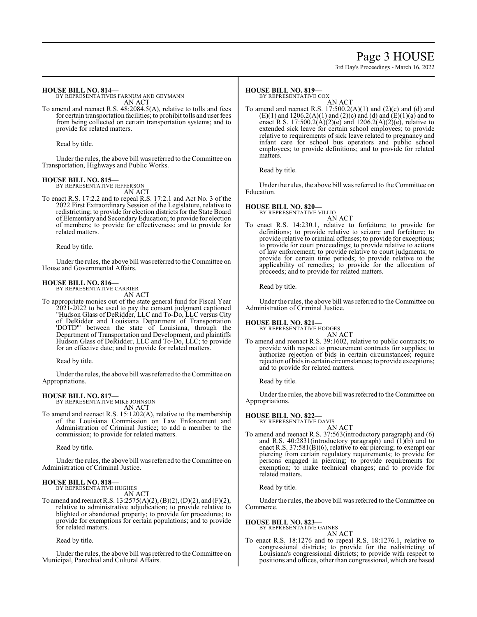# Page 3 HOUSE

3rd Day's Proceedings - March 16, 2022

#### **HOUSE BILL NO. 814—**

BY REPRESENTATIVES FARNUM AND GEYMANN AN ACT

To amend and reenact R.S. 48:2084.5(A), relative to tolls and fees for certain transportation facilities; to prohibit tolls and user fees from being collected on certain transportation systems; and to provide for related matters.

Read by title.

Under the rules, the above bill was referred to the Committee on Transportation, Highways and Public Works.

#### **HOUSE BILL NO. 815—**

BY REPRESENTATIVE JEFFERSON AN ACT

To enact R.S. 17:2.2 and to repeal R.S. 17:2.1 and Act No. 3 of the 2022 First Extraordinary Session of the Legislature, relative to redistricting; to provide for election districts for the State Board of Elementary and SecondaryEducation; to provide for election of members; to provide for effectiveness; and to provide for related matters.

Read by title.

Under the rules, the above bill was referred to theCommittee on House and Governmental Affairs.

#### **HOUSE BILL NO. 816—**

BY REPRESENTATIVE CARRIER AN ACT

To appropriate monies out of the state general fund for Fiscal Year 2021-2022 to be used to pay the consent judgment captioned "Hudson Glass of DeRidder, LLC and To-Do, LLC versus City of DeRidder and Louisiana Department of Transportation 'DOTD'" between the state of Louisiana, through the Department of Transportation and Development, and plaintiffs Hudson Glass of DeRidder, LLC and To-Do, LLC; to provide for an effective date; and to provide for related matters.

Read by title.

Under the rules, the above bill was referred to the Committee on Appropriations.

# **HOUSE BILL NO. 817—**

BY REPRESENTATIVE MIKE JOHNSON AN ACT

To amend and reenact R.S. 15:1202(A), relative to the membership of the Louisiana Commission on Law Enforcement and Administration of Criminal Justice; to add a member to the commission; to provide for related matters.

Read by title.

Under the rules, the above bill was referred to the Committee on Administration of Criminal Justice.

#### **HOUSE BILL NO. 818—**

BY REPRESENTATIVE HUGHES AN ACT

To amend and reenact R.S. 13:2575(A)(2), (B)(2), (D)(2), and (F)(2), relative to administrative adjudication; to provide relative to blighted or abandoned property; to provide for procedures; to provide for exemptions for certain populations; and to provide for related matters.

Read by title.

Under the rules, the above bill was referred to theCommittee on Municipal, Parochial and Cultural Affairs.

# **HOUSE BILL NO. 819—**

BY REPRESENTATIVE COX

AN ACT To amend and reenact R.S.  $17:500.2(A)(1)$  and  $(2)(c)$  and  $(d)$  and  $(E)(1)$  and  $1206.2(A)(1)$  and  $(2)(c)$  and  $(d)$  and  $(E)(1)(a)$  and to enact R.S. 17:500.2( $\hat{A}$ )(2)(e) and 1206.2( $\hat{A}$ )(2)(e), relative to extended sick leave for certain school employees; to provide relative to requirements of sick leave related to pregnancy and infant care for school bus operators and public school employees; to provide definitions; and to provide for related matters.

Read by title.

Under the rules, the above bill was referred to the Committee on Education.

# **HOUSE BILL NO. 820—**

BY REPRESENTATIVE VILLIO

AN ACT

To enact R.S. 14:230.1, relative to forfeiture; to provide for definitions; to provide relative to seizure and forfeiture; to provide relative to criminal offenses; to provide for exceptions; to provide for court proceedings; to provide relative to actions of law enforcement; to provide relative to court judgments; to provide for certain time periods; to provide relative to the applicability of remedies; to provide for the allocation of proceeds; and to provide for related matters.

Read by title.

Under the rules, the above bill was referred to the Committee on Administration of Criminal Justice.

#### **HOUSE BILL NO. 821—**

BY REPRESENTATIVE HODGES

- AN ACT
- To amend and reenact R.S. 39:1602, relative to public contracts; to provide with respect to procurement contracts for supplies; to authorize rejection of bids in certain circumstances; require rejection of bids in certain circumstances; to provide exceptions; and to provide for related matters.

Read by title.

Under the rules, the above bill was referred to the Committee on Appropriations.

# **HOUSE BILL NO. 822—**

BY REPRESENTATIVE DAVIS

AN ACT To amend and reenact R.S. 37:563(introductory paragraph) and (6) and R.S. 40:2831(introductory paragraph) and (1)(b) and to enact R.S. 37:581(B)(6), relative to ear piercing; to exempt ear piercing from certain regulatory requirements; to provide for persons engaged in piercing; to provide requirements for exemption; to make technical changes; and to provide for related matters.

Read by title.

Under the rules, the above bill was referred to the Committee on Commerce.

# **HOUSE BILL NO. 823—**

BY REPRESENTATIVE GAINES AN ACT

To enact R.S. 18:1276 and to repeal R.S. 18:1276.1, relative to congressional districts; to provide for the redistricting of Louisiana's congressional districts; to provide with respect to positions and offices, other than congressional, which are based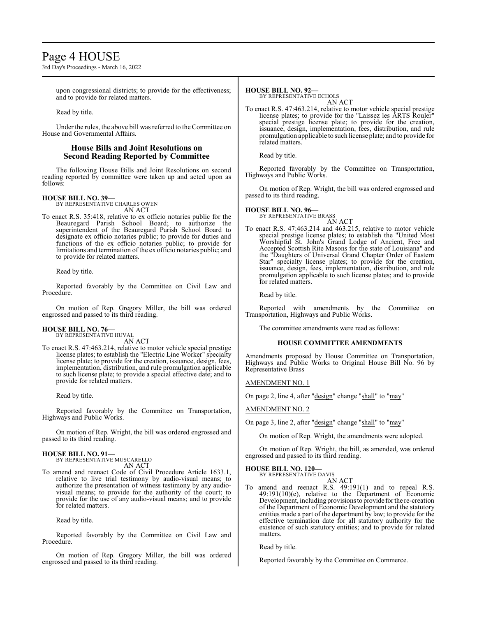# Page 4 HOUSE

3rd Day's Proceedings - March 16, 2022

upon congressional districts; to provide for the effectiveness; and to provide for related matters.

Read by title.

Under the rules, the above bill was referred to the Committee on House and Governmental Affairs.

# **House Bills and Joint Resolutions on Second Reading Reported by Committee**

The following House Bills and Joint Resolutions on second reading reported by committee were taken up and acted upon as follows:

#### **HOUSE BILL NO. 39—**

BY REPRESENTATIVE CHARLES OWEN AN ACT

To enact R.S. 35:418, relative to ex officio notaries public for the Beauregard Parish School Board; to authorize the superintendent of the Beauregard Parish School Board to designate ex officio notaries public; to provide for duties and functions of the ex officio notaries public; to provide for limitations and termination of the ex officio notaries public; and to provide for related matters.

Read by title.

Reported favorably by the Committee on Civil Law and Procedure.

On motion of Rep. Gregory Miller, the bill was ordered engrossed and passed to its third reading.

#### **HOUSE BILL NO. 76—** BY REPRESENTATIVE HUVAL

AN ACT

To enact R.S. 47:463.214, relative to motor vehicle special prestige license plates; to establish the "Electric Line Worker" specialty license plate; to provide for the creation, issuance, design, fees, implementation, distribution, and rule promulgation applicable to such license plate; to provide a special effective date; and to provide for related matters.

Read by title.

Reported favorably by the Committee on Transportation, Highways and Public Works.

On motion of Rep. Wright, the bill was ordered engrossed and passed to its third reading.

#### **HOUSE BILL NO. 91—**

BY REPRESENTATIVE MUSCARELLO AN ACT

To amend and reenact Code of Civil Procedure Article 1633.1, relative to live trial testimony by audio-visual means; to authorize the presentation of witness testimony by any audiovisual means; to provide for the authority of the court; to provide for the use of any audio-visual means; and to provide for related matters.

Read by title.

Reported favorably by the Committee on Civil Law and Procedure.

On motion of Rep. Gregory Miller, the bill was ordered engrossed and passed to its third reading.

# **HOUSE BILL NO. 92—**

BY REPRESENTATIVE ECHOLS AN ACT

To enact R.S. 47:463.214, relative to motor vehicle special prestige license plates; to provide for the "Laissez les ARTS Rouler" special prestige license plate; to provide for the creation, issuance, design, implementation, fees, distribution, and rule promulgation applicable to such license plate; and to provide for related matters.

Read by title.

Reported favorably by the Committee on Transportation, Highways and Public Works.

On motion of Rep. Wright, the bill was ordered engrossed and passed to its third reading.

#### **HOUSE BILL NO. 96—** BY REPRESENTATIVE BRASS

AN ACT

To enact R.S. 47:463.214 and 463.215, relative to motor vehicle special prestige license plates; to establish the "United Most Worshipful St. John's Grand Lodge of Ancient, Free and Accepted Scottish Rite Masons for the state of Louisiana" and the "Daughters of Universal Grand Chapter Order of Eastern Star" specialty license plates; to provide for the creation, issuance, design, fees, implementation, distribution, and rule promulgation applicable to such license plates; and to provide for related matters.

Read by title.

Reported with amendments by the Committee on Transportation, Highways and Public Works.

The committee amendments were read as follows:

#### **HOUSE COMMITTEE AMENDMENTS**

Amendments proposed by House Committee on Transportation, Highways and Public Works to Original House Bill No. 96 by Representative Brass

AMENDMENT NO. 1

On page 2, line 4, after "design" change "shall" to "may"

AMENDMENT NO. 2

On page 3, line 2, after "design" change "shall" to "may"

On motion of Rep. Wright, the amendments were adopted.

On motion of Rep. Wright, the bill, as amended, was ordered engrossed and passed to its third reading.

# **HOUSE BILL NO. 120—**

BY REPRESENTATIVE DAVIS AN ACT

To amend and reenact R.S. 49:191(1) and to repeal R.S. 49:191(10)(e), relative to the Department of Economic Development, including provisionsto provide for the re-creation of the Department of Economic Development and the statutory entities made a part of the department by law; to provide for the effective termination date for all statutory authority for the existence of such statutory entities; and to provide for related matters.

Read by title.

Reported favorably by the Committee on Commerce.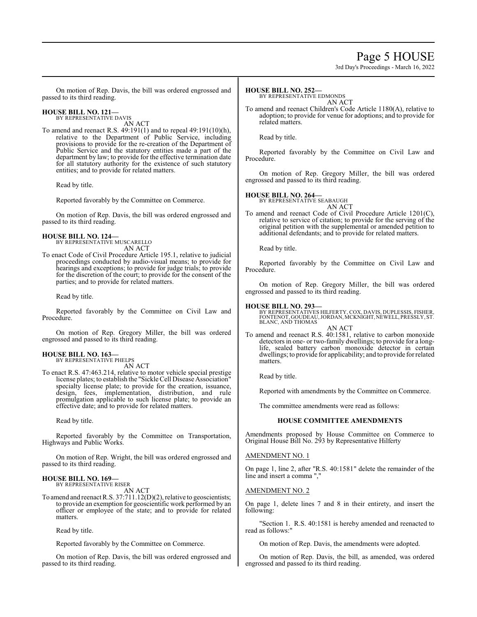# Page 5 HOUSE

3rd Day's Proceedings - March 16, 2022

On motion of Rep. Davis, the bill was ordered engrossed and passed to its third reading.

#### **HOUSE BILL NO. 121—** BY REPRESENTATIVE DAVIS

AN ACT

To amend and reenact R.S. 49:191(1) and to repeal 49:191(10)(h), relative to the Department of Public Service, including provisions to provide for the re-creation of the Department of Public Service and the statutory entities made a part of the department by law; to provide for the effective termination date for all statutory authority for the existence of such statutory entities; and to provide for related matters.

Read by title.

Reported favorably by the Committee on Commerce.

On motion of Rep. Davis, the bill was ordered engrossed and passed to its third reading.

#### **HOUSE BILL NO. 124—** BY REPRESENTATIVE MUSCARELLO

AN ACT

To enact Code of Civil Procedure Article 195.1, relative to judicial proceedings conducted by audio-visual means; to provide for hearings and exceptions; to provide for judge trials; to provide for the discretion of the court; to provide for the consent of the parties; and to provide for related matters.

Read by title.

Reported favorably by the Committee on Civil Law and Procedure.

On motion of Rep. Gregory Miller, the bill was ordered engrossed and passed to its third reading.

# **HOUSE BILL NO. 163—** BY REPRESENTATIVE PHELPS

AN ACT

To enact R.S. 47:463.214, relative to motor vehicle special prestige license plates; to establish the "Sickle Cell Disease Association" specialty license plate; to provide for the creation, issuance, design, fees, implementation, distribution, and rule promulgation applicable to such license plate; to provide an effective date; and to provide for related matters.

Read by title.

Reported favorably by the Committee on Transportation, Highways and Public Works.

On motion of Rep. Wright, the bill was ordered engrossed and passed to its third reading.

#### **HOUSE BILL NO. 169—** BY REPRESENTATIVE RISER

AN ACT

To amend and reenact R.S. 37:711.12(D)(2), relative to geoscientists; to provide an exemption for geoscientific work performed by an officer or employee of the state; and to provide for related matters.

Read by title.

Reported favorably by the Committee on Commerce.

On motion of Rep. Davis, the bill was ordered engrossed and passed to its third reading.

#### **HOUSE BILL NO. 252—**

BY REPRESENTATIVE EDMONDS

AN ACT To amend and reenact Children's Code Article 1180(A), relative to adoption; to provide for venue for adoptions; and to provide for related matters.

Read by title.

Reported favorably by the Committee on Civil Law and Procedure.

On motion of Rep. Gregory Miller, the bill was ordered engrossed and passed to its third reading.

# **HOUSE BILL NO. 264—**

BY REPRESENTATIVE SEABAUGH

AN ACT To amend and reenact Code of Civil Procedure Article 1201(C), relative to service of citation; to provide for the serving of the original petition with the supplemental or amended petition to additional defendants; and to provide for related matters.

Read by title.

Reported favorably by the Committee on Civil Law and Procedure.

On motion of Rep. Gregory Miller, the bill was ordered engrossed and passed to its third reading.

#### **HOUSE BILL NO. 293—**

BY REPRESENTATIVES HILFERTY, COX, DAVIS, DUPLESSIS, FISHER, FONTENOT, GOUDEAU,JORDAN, MCKNIGHT, NEWELL, PRESSLY, ST. BLANC, AND THOMAS AN ACT

To amend and reenact R.S. 40:1581, relative to carbon monoxide detectors in one- or two-family dwellings; to provide for a longlife, sealed battery carbon monoxide detector in certain dwellings; to provide for applicability; and to provide for related matters.

Read by title.

Reported with amendments by the Committee on Commerce.

The committee amendments were read as follows:

# **HOUSE COMMITTEE AMENDMENTS**

Amendments proposed by House Committee on Commerce to Original House Bill No. 293 by Representative Hilferty

#### AMENDMENT NO. 1

On page 1, line 2, after "R.S. 40:1581" delete the remainder of the line and insert a comma ","

#### AMENDMENT NO. 2

On page 1, delete lines 7 and 8 in their entirety, and insert the following:

"Section 1. R.S. 40:1581 is hereby amended and reenacted to read as follows:"

On motion of Rep. Davis, the amendments were adopted.

On motion of Rep. Davis, the bill, as amended, was ordered engrossed and passed to its third reading.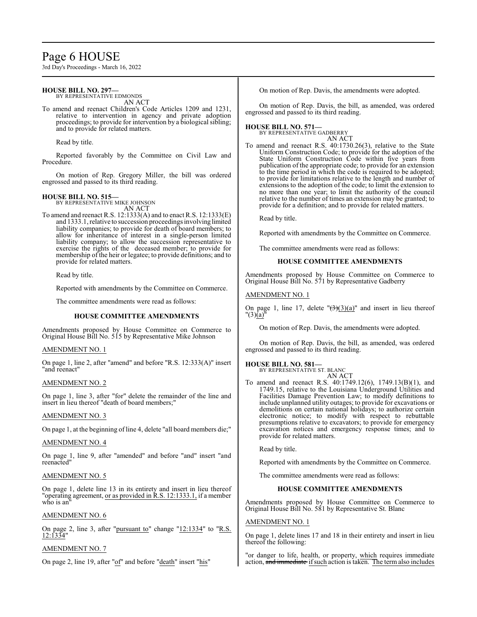# Page 6 HOUSE

3rd Day's Proceedings - March 16, 2022

#### **HOUSE BILL NO. 297—** BY REPRESENTATIVE EDMONDS

AN ACT

To amend and reenact Children's Code Articles 1209 and 1231, relative to intervention in agency and private adoption proceedings; to provide for intervention by a biological sibling; and to provide for related matters.

Read by title.

Reported favorably by the Committee on Civil Law and Procedure.

On motion of Rep. Gregory Miller, the bill was ordered engrossed and passed to its third reading.

#### **HOUSE BILL NO. 515—** BY REPRESENTATIVE MIKE JOHNSON

AN ACT

To amend and reenact R.S. 12:1333(A) and to enact R.S. 12:1333(E) and 1333.1, relative to succession proceedings involving limited liability companies; to provide for death of board members; to allow for inheritance of interest in a single-person limited liability company; to allow the succession representative to exercise the rights of the deceased member; to provide for membership of the heir or legatee; to provide definitions; and to provide for related matters.

Read by title.

Reported with amendments by the Committee on Commerce.

The committee amendments were read as follows:

# **HOUSE COMMITTEE AMENDMENTS**

Amendments proposed by House Committee on Commerce to Original House Bill No. 515 by Representative Mike Johnson

#### AMENDMENT NO. 1

On page 1, line 2, after "amend" and before "R.S. 12:333(A)" insert "and reenact"

# AMENDMENT NO. 2

On page 1, line 3, after "for" delete the remainder of the line and insert in lieu thereof "death of board members;"

#### AMENDMENT NO. 3

On page 1, at the beginning of line 4, delete "all board members die;"

#### AMENDMENT NO. 4

On page 1, line 9, after "amended" and before "and" insert "and reenacted"

#### AMENDMENT NO. 5

On page 1, delete line 13 in its entirety and insert in lieu thereof "operating agreement, or as provided in R.S. 12:1333.1, if a member who is an'

# AMENDMENT NO. 6

On page 2, line 3, after "pursuant to" change "12:1334" to "R.S.  $12.1334'$ 

# AMENDMENT NO. 7

On page 2, line 19, after "of" and before "death" insert "his"

On motion of Rep. Davis, the amendments were adopted.

On motion of Rep. Davis, the bill, as amended, was ordered engrossed and passed to its third reading.

#### **HOUSE BILL NO. 571—** BY REPRESENTATIVE GADBERRY

AN ACT

To amend and reenact R.S. 40:1730.26(3), relative to the State Uniform Construction Code; to provide for the adoption of the State Uniform Construction Code within five years from publication of the appropriate code; to provide for an extension to the time period in which the code is required to be adopted; to provide for limitations relative to the length and number of extensions to the adoption of the code; to limit the extension to no more than one year; to limit the authority of the council relative to the number of times an extension may be granted; to provide for a definition; and to provide for related matters.

Read by title.

Reported with amendments by the Committee on Commerce.

The committee amendments were read as follows:

# **HOUSE COMMITTEE AMENDMENTS**

Amendments proposed by House Committee on Commerce to Original House Bill No. 571 by Representative Gadberry

# AMENDMENT NO. 1

On page 1, line 17, delete " $(\frac{3}{3})(\frac{3}{a})$ " and insert in lieu thereof  $"(3)(a)$ 

On motion of Rep. Davis, the amendments were adopted.

On motion of Rep. Davis, the bill, as amended, was ordered engrossed and passed to its third reading.

# **HOUSE BILL NO. 581—**

BY REPRESENTATIVE ST. BLANC AN ACT

To amend and reenact R.S. 40:1749.12(6), 1749.13(B)(1), and 1749.15, relative to the Louisiana Underground Utilities and Facilities Damage Prevention Law; to modify definitions to include unplanned utility outages; to provide for excavations or demolitions on certain national holidays; to authorize certain electronic notice; to modify with respect to rebuttable presumptions relative to excavators; to provide for emergency excavation notices and emergency response times; and to provide for related matters.

Read by title.

Reported with amendments by the Committee on Commerce.

The committee amendments were read as follows:

# **HOUSE COMMITTEE AMENDMENTS**

Amendments proposed by House Committee on Commerce to Original House Bill No. 581 by Representative St. Blanc

#### AMENDMENT NO. 1

On page 1, delete lines 17 and 18 in their entirety and insert in lieu thereof the following:

"or danger to life, health, or property, which requires immediate action, and immediate if such action is taken. The term also includes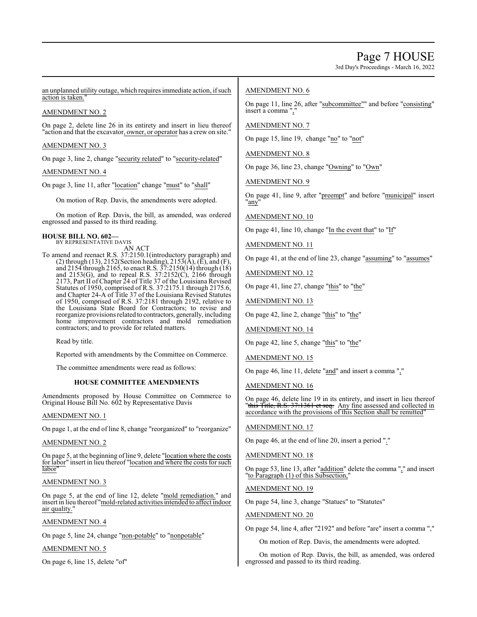3rd Day's Proceedings - March 16, 2022

an unplanned utility outage, which requires immediate action, if such action is taken.

# AMENDMENT NO. 2

On page 2, delete line 26 in its entirety and insert in lieu thereof "action and that the excavator, owner, or operator has a crew on site."

# AMENDMENT NO. 3

On page 3, line 2, change "security related" to "security-related"

# AMENDMENT NO. 4

On page 3, line 11, after "location" change "must" to "shall"

On motion of Rep. Davis, the amendments were adopted.

On motion of Rep. Davis, the bill, as amended, was ordered engrossed and passed to its third reading.

#### **HOUSE BILL NO. 602—** BY REPRESENTATIVE DAVIS

AN ACT

To amend and reenact R.S. 37:2150.1(introductory paragraph) and (2) through (13), 2152(Section heading), 2153( $\overline{A}$ ), ( $\overline{E}$ ), and (F), and 2154 through 2165, to enact R.S. 37:2150(14) through (18) and 2153(G), and to repeal R.S. 37:2152(C), 2166 through 2173, Part II of Chapter 24 of Title 37 of the Louisiana Revised Statutes of 1950, comprised of R.S. 37:2175.1 through 2175.6, and Chapter 24-A of Title 37 of the Louisiana Revised Statutes of 1950, comprised of R.S. 37:2181 through 2192, relative to the Louisiana State Board for Contractors; to revise and reorganize provisions related to contractors, generally, including home improvement contractors and mold remediation contractors; and to provide for related matters.

Read by title.

Reported with amendments by the Committee on Commerce.

The committee amendments were read as follows:

# **HOUSE COMMITTEE AMENDMENTS**

Amendments proposed by House Committee on Commerce to Original House Bill No. 602 by Representative Davis

# AMENDMENT NO. 1

On page 1, at the end of line 8, change "reorganized" to "reorganize"

# AMENDMENT NO. 2

On page 5, at the beginning of line 9, delete "location where the costs for labor" insert in lieu thereof "location and where the costs for such labor"

# AMENDMENT NO. 3

On page 5, at the end of line 12, delete "mold remediation." and insert in lieu thereof "mold-related activities intended to affect indoor air quality."

# AMENDMENT NO. 4

On page 5, line 24, change "non-potable" to "nonpotable"

# AMENDMENT NO. 5

On page 6, line 15, delete "of"

# AMENDMENT NO. 6

On page 11, line 26, after "subcommittee"" and before "consisting" insert a comma ",

# AMENDMENT NO. 7

On page 15, line 19, change "no" to "not"

AMENDMENT NO. 8

On page 36, line 23, change "Owning" to "Own"

AMENDMENT NO. 9

On page 41, line 9, after "preempt" and before "municipal" insert "any"

AMENDMENT NO. 10

On page 41, line 10, change "In the event that" to "If"

AMENDMENT NO. 11

On page 41, at the end of line 23, change "assuming" to "assumes"

AMENDMENT NO. 12

On page 41, line 27, change "this" to "the"

# AMENDMENT NO. 13

On page 42, line 2, change "this" to "the"

AMENDMENT NO. 14

On page 42, line 5, change "this" to "the"

AMENDMENT NO. 15

On page 46, line 11, delete "and" and insert a comma ","

AMENDMENT NO. 16

On page 46, delete line 19 in its entirety, and insert in lieu thereof "this Title, R.S. 37:1361 et seq. Any fine assessed and collected in accordance with the provisions of this Section shall be remitted"

AMENDMENT NO. 17

On page 46, at the end of line 20, insert a period "."

AMENDMENT NO. 18

On page 53, line 13, after "addition" delete the comma "," and insert "to Paragraph (1) of this Subsection,"

# AMENDMENT NO. 19

On page 54, line 3, change "Statues" to "Statutes"

# AMENDMENT NO. 20

On page 54, line 4, after "2192" and before "are" insert a comma ","

On motion of Rep. Davis, the amendments were adopted.

On motion of Rep. Davis, the bill, as amended, was ordered engrossed and passed to its third reading.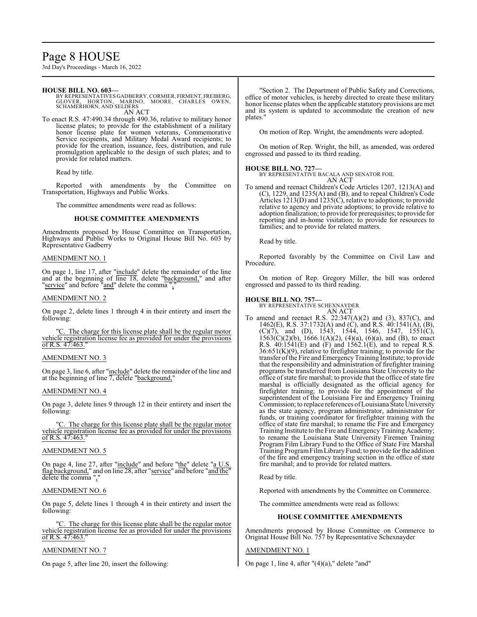# Page 8 HOUSE

3rd Day's Proceedings - March 16, 2022

#### **HOUSE BILL NO. 603—**

BY REPRESENTATIVES GADBERRY, CORMIER, FIRMENT, FREIBERG,<br>GLOVER, HORTON, MARINO, MOORE, CHARLES OWEN,<br>SCHAMERHORN, AND SELDERS AN ACT

To enact R.S. 47:490.34 through 490.36, relative to military honor license plates; to provide for the establishment of a military honor license plate for women veterans, Commemorative Service recipients, and Military Medal Award recipients; to provide for the creation, issuance, fees, distribution, and rule promulgation applicable to the design of such plates; and to provide for related matters.

Read by title.

Reported with amendments by the Committee on Transportation, Highways and Public Works.

The committee amendments were read as follows:

#### **HOUSE COMMITTEE AMENDMENTS**

Amendments proposed by House Committee on Transportation, Highways and Public Works to Original House Bill No. 603 by Representative Gadberry

#### AMENDMENT NO. 1

On page 1, line 17, after "include" delete the remainder of the line and at the beginning of line 18, delete "background," and after "service" and before "and" delete the comma","

#### AMENDMENT NO. 2

On page 2, delete lines 1 through 4 in their entirety and insert the following:

"C. The charge for this license plate shall be the regular motor vehicle registration license fee as provided for under the provisions of R.S. 47:463."

#### AMENDMENT NO. 3

On page 3, line 6, after "include" delete the remainder of the line and at the beginning of line 7, delete "background,"

#### AMENDMENT NO. 4

On page 3, delete lines 9 through 12 in their entirety and insert the following:

"C. The charge for this license plate shall be the regular motor vehicle registration license fee as provided for under the provisions of R.S. 47:463."

#### AMENDMENT NO. 5

On page 4, line 27, after "include" and before "the" delete "a U.S. flag background," and on line 28, after "service" and before "and the" delete the comma "

#### AMENDMENT NO. 6

On page 5, delete lines 1 through 4 in their entirety and insert the following:

The charge for this license plate shall be the regular motor vehicle registration license fee as provided for under the provisions of R.S. 47:463."

#### AMENDMENT NO. 7

On page 5, after line 20, insert the following:

"Section 2. The Department of Public Safety and Corrections, office of motor vehicles, is hereby directed to create these military honor license plates when the applicable statutory provisions are met and its system is updated to accommodate the creation of new plates."

On motion of Rep. Wright, the amendments were adopted.

On motion of Rep. Wright, the bill, as amended, was ordered engrossed and passed to its third reading.

#### **HOUSE BILL NO. 727—**

BY REPRESENTATIVE BACALA AND SENATOR FOIL AN ACT

To amend and reenact Children's Code Articles 1207, 1213(A) and (C), 1229, and 1235(A) and (B), and to repeal Children's Code Articles 1213(D) and 1235(C), relative to adoptions; to provide relative to agency and private adoptions; to provide relative to adoption finalization; to provide for prerequisites; to provide for reporting and in-home visitation; to provide for resources to families; and to provide for related matters.

Read by title.

Reported favorably by the Committee on Civil Law and Procedure.

On motion of Rep. Gregory Miller, the bill was ordered engrossed and passed to its third reading.

**HOUSE BILL NO. 757—** BY REPRESENTATIVE SCHEXNAYDER

AN ACT To amend and reenact R.S. 22:347(A)(2) and (3), 837(C), and 1462(E), R.S. 37:1732(A) and (C), and R.S. 40:1541(A), (B),  $(C)(7)$ , and  $(D)$ , 1543, 1544, 1546, 1547, 1551 $(C)$ ,  $1563(C)(2)(b)$ ,  $1666.1(A)(2)$ ,  $(4)(a)$ ,  $(6)(a)$ , and  $(B)$ , to enact R.S. 40:1541(E) and (F) and 1562.1(E), and to repeal R.S.  $36:651(K)(9)$ , relative to firefighter training; to provide for the transfer of the Fire and Emergency Training Institute; to provide that the responsibility and administration of firefighter training programs be transferred from Louisiana State University to the office ofstate fire marshal; to provide that the office ofstate fire marshal is officially designated as the official agency for firefighter training; to provide for the appointment of the superintendent of the Louisiana Fire and Emergency Training Commission; to replace references ofLouisiana State University as the state agency, program administrator, administrator for funds, or training coordinator for firefighter training with the office of state fire marshal; to rename the Fire and Emergency Training Institute to the Fire and EmergencyTraining Academy; to rename the Louisiana State University Firemen Training Program Film Library Fund to the Office of State Fire Marshal Training ProgramFilmLibraryFund; to provide for the addition of the fire and emergency training section in the office of state fire marshal; and to provide for related matters.

Read by title.

Reported with amendments by the Committee on Commerce.

The committee amendments were read as follows:

#### **HOUSE COMMITTEE AMENDMENTS**

Amendments proposed by House Committee on Commerce to Original House Bill No. 757 by Representative Schexnayder

#### AMENDMENT NO. 1

On page 1, line 4, after  $''(4)(a)$ ," delete "and"